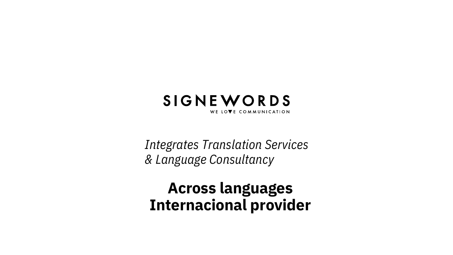## SIGNEWORDS WE LOVE COMMUNICATION

*Integrates Translation Services & Language Consultancy*

# **Across languages Internacional provider**

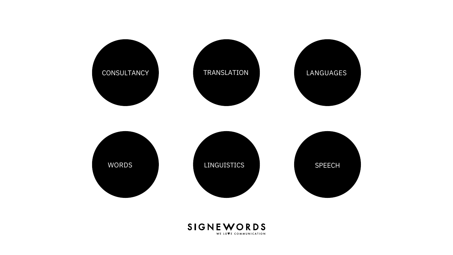







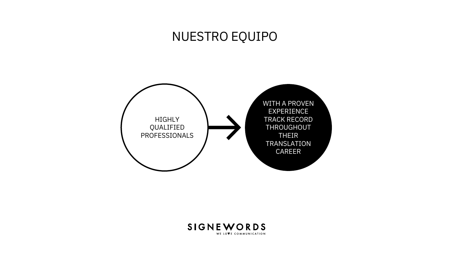



WITH A PROVEN EXPERIENCE TRACK RECORD THROUGHOUT THEIR TRANSLATION CAREER

# NUESTRO EQUIPO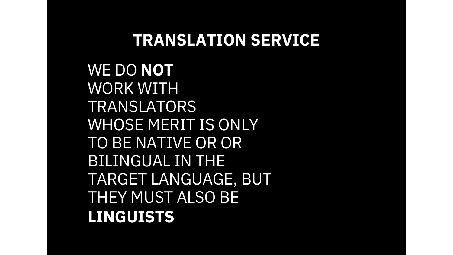WE DO **NOT** WORK WITH TRANSLATORS WHOSE MERIT IS ONLY TO BE NATIVE OR OR BILINGUAL IN THE TARGET LANGUAGE, BUT THEY MUST ALSO BE **LINGUISTS**

# **TRANSLATION SERVICE**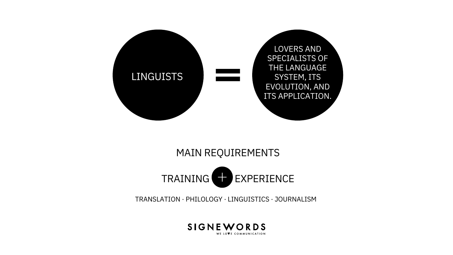### TRANSLATION · PHILOLOGY · LINGUISTICS · JOURNALISM



LOVERS AND SPECIALISTS OF THE LANGUAGE SYSTEM, ITS EVOLUTION, AND ITS APPLICATION.



## MAIN REQUIREMENTS

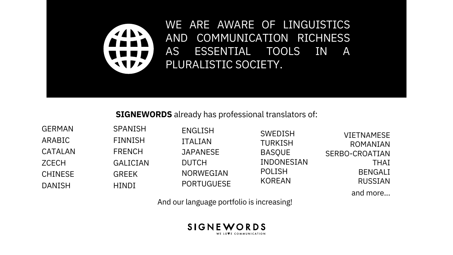And our language portfolio is increasing!



## **SIGNEWORDS** already has professional translators of:



SPANISH FINNISH FRENCH GALICIAN GREEK **HINDI** 

GERMAN ARABIC CATALAN **ZCECH** CHINESE DANISH

ENGLISH ITALIAN **JAPANESE** DUTCH NORWEGIAN PORTUGUESE

SWEDISH TURKISH BASQUE POLISH KOREAN

INDONESIAN

VIETNAMESE ROMANIAN SERBO-CROATIAN THAI BENGALI RUSSIAN and more...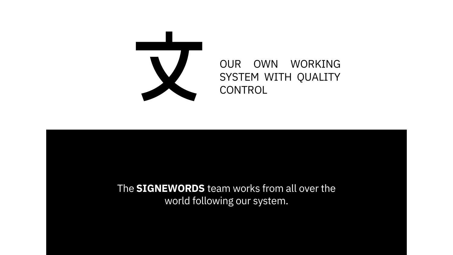

## OUR OWN WORKING SYSTEM WITH QUALITY CONTROL

# The **SIGNEWORDS** team works from all over the world following our system.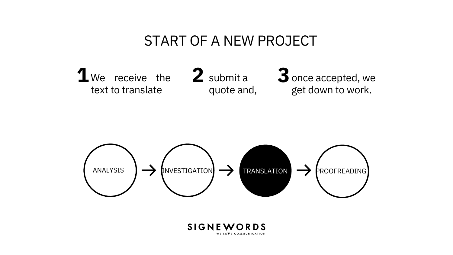3 once accepted, we get down to work.

quote and,





# START OF A NEW PROJECT

We receive the  $\angle$  submit a text to translate 1 We receive the 2 submit a 3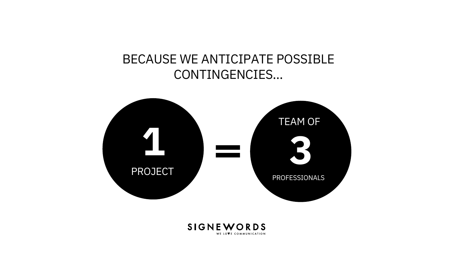# BECAUSE WE ANTICIPATE POSSIBLE CONTINGENCIES…



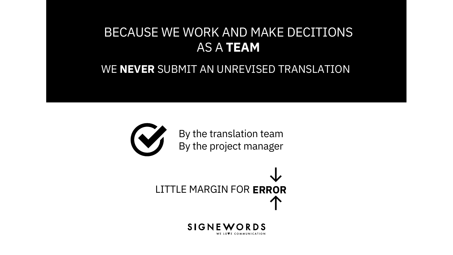## WE **NEVER** SUBMIT AN UNREVISED TRANSLATION



By the translation team By the project manager

LITTLE MARGIN FOR ERROR



# BECAUSE WE WORK AND MAKE DECITIONS AS A **TEAM**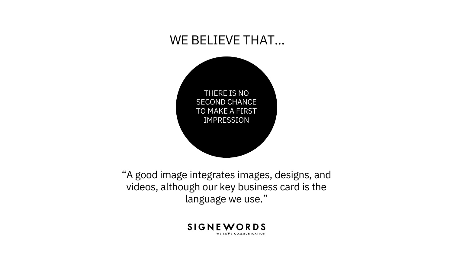

"A good image integrates images, designs, and videos, although our key business card is the language we use."



# WE BELIEVE THAT…